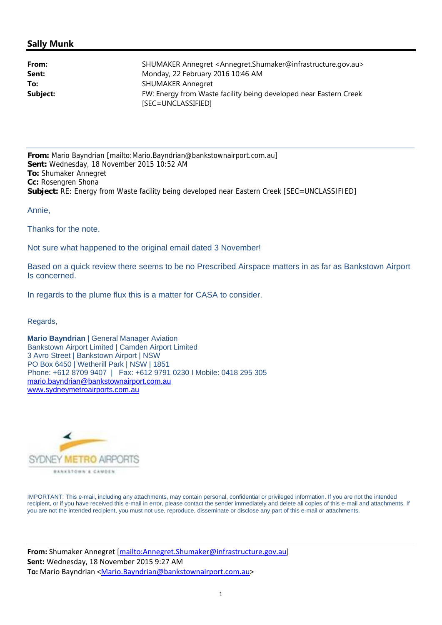## **Sally Munk**

| From:    | SHUMAKER Annegret <annegret.shumaker@infrastructure.gov.au></annegret.shumaker@infrastructure.gov.au> |
|----------|-------------------------------------------------------------------------------------------------------|
| Sent:    | Monday, 22 February 2016 10:46 AM                                                                     |
| To:      | <b>SHUMAKER Annegret</b>                                                                              |
| Subject: | FW: Energy from Waste facility being developed near Eastern Creek                                     |
|          | [SEC=UNCLASSIFIED]                                                                                    |

**From:** Mario Bayndrian [mailto:Mario.Bayndrian@bankstownairport.com.au] **Sent:** Wednesday, 18 November 2015 10:52 AM **To:** Shumaker Annegret **Cc:** Rosengren Shona **Subject:** RE: Energy from Waste facility being developed near Eastern Creek [SEC=UNCLASSIFIED]

Annie,

Thanks for the note.

Not sure what happened to the original email dated 3 November!

Based on a quick review there seems to be no Prescribed Airspace matters in as far as Bankstown Airport Is concerned.

In regards to the plume flux this is a matter for CASA to consider.

Regards,

**Mario Bayndrian** | General Manager Aviation Bankstown Airport Limited | Camden Airport Limited 3 Avro Street | Bankstown Airport | NSW PO Box 6450 | Wetherill Park | NSW | 1851 Phone: +612 8709 9407 | Fax: +612 9791 0230 I Mobile: 0418 295 305 mario.bayndrian@bankstownairport.com.au www.sydneymetroairports.com.au



IMPORTANT: This e-mail, including any attachments, may contain personal, confidential or privileged information. If you are not the intended recipient, or if you have received this e-mail in error, please contact the sender immediately and delete all copies of this e-mail and attachments. If you are not the intended recipient, you must not use, reproduce, disseminate or disclose any part of this e-mail or attachments.

**From:** Shumaker Annegret [mailto:Annegret.Shumaker@infrastructure.gov.au] **Sent:** Wednesday, 18 November 2015 9:27 AM To: Mario Bayndrian <Mario.Bayndrian@bankstownairport.com.au>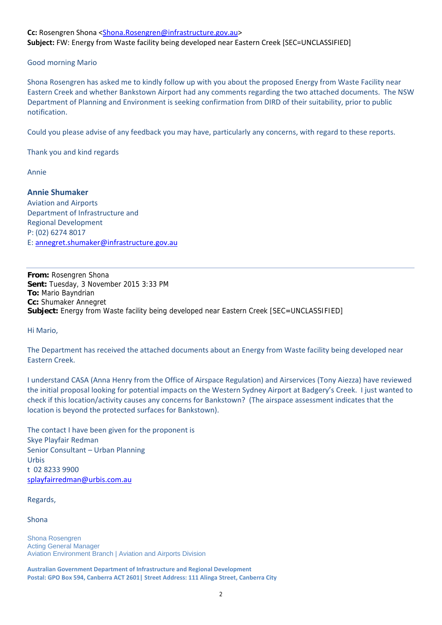## **Cc:** Rosengren Shona <Shona.Rosengren@infrastructure.gov.au> **Subject:** FW: Energy from Waste facility being developed near Eastern Creek [SEC=UNCLASSIFIED]

## Good morning Mario

Shona Rosengren has asked me to kindly follow up with you about the proposed Energy from Waste Facility near Eastern Creek and whether Bankstown Airport had any comments regarding the two attached documents. The NSW Department of Planning and Environment is seeking confirmation from DIRD of their suitability, prior to public notification.

Could you please advise of any feedback you may have, particularly any concerns, with regard to these reports.

Thank you and kind regards

Annie

**Annie Shumaker** Aviation and Airports Department of Infrastructure and Regional Development P: (02) 6274 8017 E: annegret.shumaker@infrastructure.gov.au

**From:** Rosengren Shona **Sent:** Tuesday, 3 November 2015 3:33 PM **To:** Mario Bayndrian **Cc:** Shumaker Annegret **Subject:** Energy from Waste facility being developed near Eastern Creek [SEC=UNCLASSIFIED]

Hi Mario,

The Department has received the attached documents about an Energy from Waste facility being developed near Eastern Creek.

I understand CASA (Anna Henry from the Office of Airspace Regulation) and Airservices (Tony Aiezza) have reviewed the initial proposal looking for potential impacts on the Western Sydney Airport at Badgery's Creek. I just wanted to check if this location/activity causes any concerns for Bankstown? (The airspace assessment indicates that the location is beyond the protected surfaces for Bankstown).

The contact I have been given for the proponent is Skye Playfair Redman Senior Consultant – Urban Planning Urbis t 02 8233 9900 splayfairredman@urbis.com.au

Regards,

Shona

Shona Rosengren Acting General Manager Aviation Environment Branch | Aviation and Airports Division

**Australian Government Department of Infrastructure and Regional Development Postal: GPO Box 594, Canberra ACT 2601| Street Address: 111 Alinga Street, Canberra City**